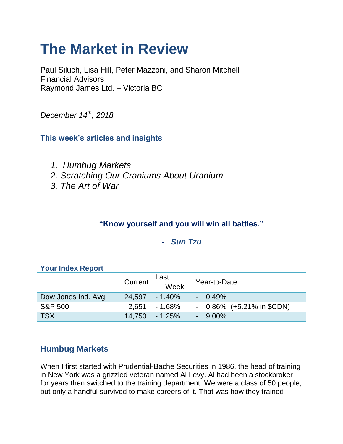# **The Market in Review**

Paul Siluch, Lisa Hill, Peter Mazzoni, and Sharon Mitchell Financial Advisors Raymond James Ltd. – Victoria BC

*December 14th, 2018*

# **This week's articles and insights**

- *1. Humbug Markets*
- *2. Scratching Our Craniums About Uranium*
- *3. The Art of War*

## **"Know yourself and you will win all battles."**

### - *Sun Tzu*

|                     | Current | Last<br>Week     | Year-to-Date                |
|---------------------|---------|------------------|-----------------------------|
| Dow Jones Ind. Avg. |         | 24.597 - 1.40%   | $-0.49\%$                   |
| <b>S&amp;P 500</b>  |         | $2.651 - 1.68\%$ | $-0.86\%$ (+5.21% in \$CDN) |
| <b>TSX</b>          |         | 14,750 - 1.25%   | $-9.00\%$                   |

### **Your Index Report**

# **Humbug Markets**

When I first started with Prudential-Bache Securities in 1986, the head of training in New York was a grizzled veteran named Al Levy. Al had been a stockbroker for years then switched to the training department. We were a class of 50 people, but only a handful survived to make careers of it. That was how they trained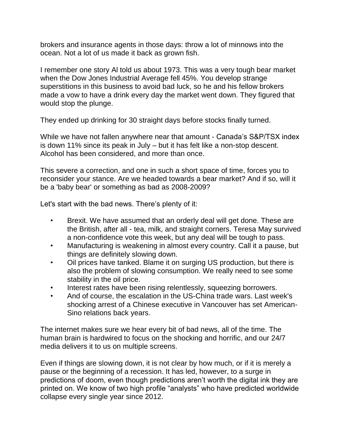brokers and insurance agents in those days: throw a lot of minnows into the ocean. Not a lot of us made it back as grown fish.

I remember one story Al told us about 1973. This was a very tough bear market when the Dow Jones Industrial Average fell 45%. You develop strange superstitions in this business to avoid bad luck, so he and his fellow brokers made a vow to have a drink every day the market went down. They figured that would stop the plunge.

They ended up drinking for 30 straight days before stocks finally turned.

While we have not fallen anywhere near that amount - Canada's S&P/TSX index is down 11% since its peak in July – but it has felt like a non-stop descent. Alcohol has been considered, and more than once.

This severe a correction, and one in such a short space of time, forces you to reconsider your stance. Are we headed towards a bear market? And if so, will it be a 'baby bear' or something as bad as 2008-2009?

Let's start with the bad news. There's plenty of it:

- Brexit. We have assumed that an orderly deal will get done. These are the British, after all - tea, milk, and straight corners. Teresa May survived a non-confidence vote this week, but any deal will be tough to pass.
- Manufacturing is weakening in almost every country. Call it a pause, but things are definitely slowing down.
- Oil prices have tanked. Blame it on surging US production, but there is also the problem of slowing consumption. We really need to see some stability in the oil price.
- Interest rates have been rising relentlessly, squeezing borrowers.
- And of course, the escalation in the US-China trade wars. Last week's shocking arrest of a Chinese executive in Vancouver has set American-Sino relations back years.

The internet makes sure we hear every bit of bad news, all of the time. The human brain is hardwired to focus on the shocking and horrific, and our 24/7 media delivers it to us on multiple screens.

Even if things are slowing down, it is not clear by how much, or if it is merely a pause or the beginning of a recession. It has led, however, to a surge in predictions of doom, even though predictions aren't worth the digital ink they are printed on. We know of two high profile "analysts" who have predicted worldwide collapse every single year since 2012.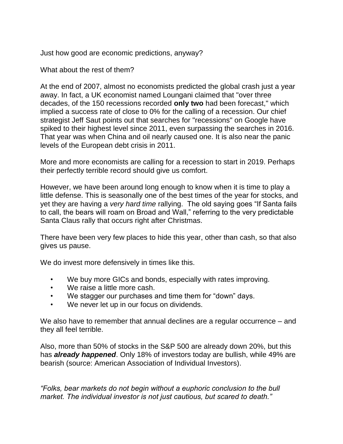Just how good are economic predictions, anyway?

What about the rest of them?

At the end of 2007, almost no economists predicted the global crash just a year away. In fact, a UK economist named Loungani claimed that "over three decades, of the 150 recessions recorded **only two** had been forecast," which implied a success rate of close to 0% for the calling of a recession. Our chief strategist Jeff Saut points out that searches for "recessions" on Google have spiked to their highest level since 2011, even surpassing the searches in 2016. That year was when China and oil nearly caused one. It is also near the panic levels of the European debt crisis in 2011.

More and more economists are calling for a recession to start in 2019. Perhaps their perfectly terrible record should give us comfort.

However, we have been around long enough to know when it is time to play a little defense. This is seasonally one of the best times of the year for stocks, and yet they are having a *very hard time* rallying. The old saying goes "If Santa fails to call, the bears will roam on Broad and Wall," referring to the very predictable Santa Claus rally that occurs right after Christmas.

There have been very few places to hide this year, other than cash, so that also gives us pause.

We do invest more defensively in times like this.

- We buy more GICs and bonds, especially with rates improving.
- We raise a little more cash.
- We stagger our purchases and time them for "down" days.
- We never let up in our focus on dividends.

We also have to remember that annual declines are a regular occurrence – and they all feel terrible.

Also, more than 50% of stocks in the S&P 500 are already down 20%, but this has *already happened*. Only 18% of investors today are bullish, while 49% are bearish (source: American Association of Individual Investors).

*"Folks, bear markets do not begin without a euphoric conclusion to the bull market. The individual investor is not just cautious, but scared to death."*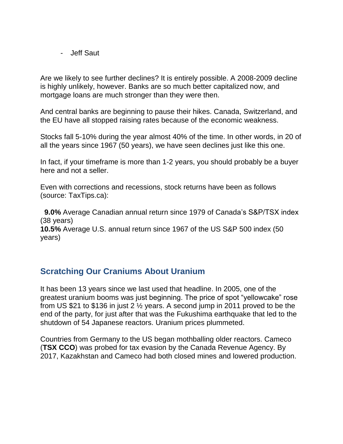- Jeff Saut

Are we likely to see further declines? It is entirely possible. A 2008-2009 decline is highly unlikely, however. Banks are so much better capitalized now, and mortgage loans are much stronger than they were then.

And central banks are beginning to pause their hikes. Canada, Switzerland, and the EU have all stopped raising rates because of the economic weakness.

Stocks fall 5-10% during the year almost 40% of the time. In other words, in 20 of all the years since 1967 (50 years), we have seen declines just like this one.

In fact, if your timeframe is more than 1-2 years, you should probably be a buyer here and not a seller.

Even with corrections and recessions, stock returns have been as follows (source: TaxTips.ca):

 **9.0%** Average Canadian annual return since 1979 of Canada's S&P/TSX index (38 years)

**10.5%** Average U.S. annual return since 1967 of the US S&P 500 index (50 years)

## **Scratching Our Craniums About Uranium**

It has been 13 years since we last used that headline. In 2005, one of the greatest uranium booms was just beginning. The price of spot "yellowcake" rose from US \$21 to \$136 in just 2 ½ years. A second jump in 2011 proved to be the end of the party, for just after that was the Fukushima earthquake that led to the shutdown of 54 Japanese reactors. Uranium prices plummeted.

Countries from Germany to the US began mothballing older reactors. Cameco (**TSX CCO**) was probed for tax evasion by the Canada Revenue Agency. By 2017, Kazakhstan and Cameco had both closed mines and lowered production.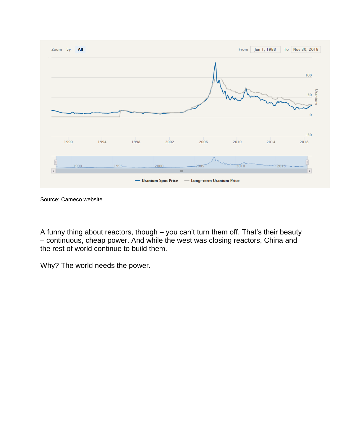

Source: Cameco website

A funny thing about reactors, though – you can't turn them off. That's their beauty – continuous, cheap power. And while the west was closing reactors, China and the rest of world continue to build them.

Why? The world needs the power.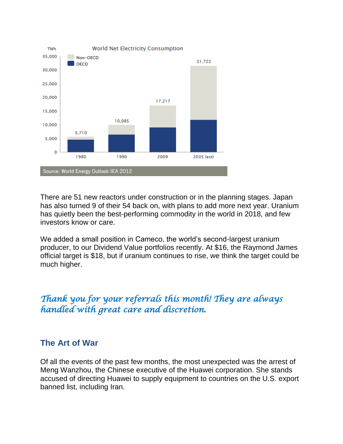

There are 51 new reactors under construction or in the planning stages. Japan has also turned 9 of their 54 back on, with plans to add more next year. Uranium has quietly been the best-performing commodity in the world in 2018, and few investors know or care.

We added a small position in Cameco, the world's second-largest uranium producer, to our Dividend Value portfolios recently. At \$16, the Raymond James official target is \$18, but if uranium continues to rise, we think the target could be much higher.

# *Thank you for your referrals this month! They are always handled with great care and discretion.*

### **The Art of War**

Of all the events of the past few months, the most unexpected was the arrest of Meng Wanzhou, the Chinese executive of the Huawei corporation. She stands accused of directing Huawei to supply equipment to countries on the U.S. export banned list, including Iran.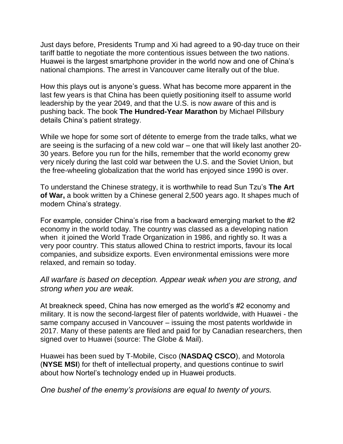Just days before, Presidents Trump and Xi had agreed to a 90-day truce on their tariff battle to negotiate the more contentious issues between the two nations. Huawei is the largest smartphone provider in the world now and one of China's national champions. The arrest in Vancouver came literally out of the blue.

How this plays out is anyone's guess. What has become more apparent in the last few years is that China has been quietly positioning itself to assume world leadership by the year 2049, and that the U.S. is now aware of this and is pushing back. The book **The Hundred-Year Marathon** by Michael Pillsbury details China's patient strategy.

While we hope for some sort of détente to emerge from the trade talks, what we are seeing is the surfacing of a new cold war – one that will likely last another 20- 30 years. Before you run for the hills, remember that the world economy grew very nicely during the last cold war between the U.S. and the Soviet Union, but the free-wheeling globalization that the world has enjoyed since 1990 is over.

To understand the Chinese strategy, it is worthwhile to read Sun Tzu's **The Art of War,** a book written by a Chinese general 2,500 years ago. It shapes much of modern China's strategy.

For example, consider China's rise from a backward emerging market to the #2 economy in the world today. The country was classed as a developing nation when it joined the World Trade Organization in 1986, and rightly so. It was a very poor country. This status allowed China to restrict imports, favour its local companies, and subsidize exports. Even environmental emissions were more relaxed, and remain so today.

#### *All warfare is based on deception. Appear weak when you are strong, and strong when you are weak.*

At breakneck speed, China has now emerged as the world's #2 economy and military. It is now the second-largest filer of patents worldwide, with Huawei - the same company accused in Vancouver – issuing the most patents worldwide in 2017. Many of these patents are filed and paid for by Canadian researchers, then signed over to Huawei (source: The Globe & Mail).

Huawei has been sued by T-Mobile, Cisco (**NASDAQ CSCO**), and Motorola (**NYSE MSI**) for theft of intellectual property, and questions continue to swirl about how Nortel's technology ended up in Huawei products.

*One bushel of the enemy's provisions are equal to twenty of yours.*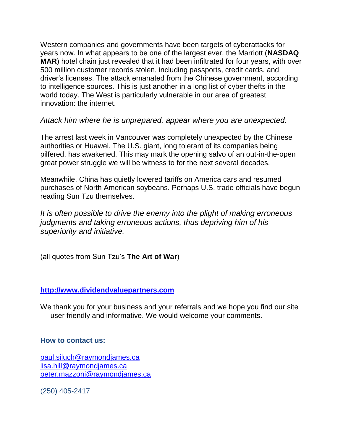Western companies and governments have been targets of cyberattacks for years now. In what appears to be one of the largest ever, the Marriott (**NASDAQ MAR**) hotel chain just revealed that it had been infiltrated for four years, with over 500 million customer records stolen, including passports, credit cards, and driver's licenses. The attack emanated from the Chinese government, according to intelligence sources. This is just another in a long list of cyber thefts in the world today. The West is particularly vulnerable in our area of greatest innovation: the internet.

#### *Attack him where he is unprepared, appear where you are unexpected.*

The arrest last week in Vancouver was completely unexpected by the Chinese authorities or Huawei. The U.S. giant, long tolerant of its companies being pilfered, has awakened. This may mark the opening salvo of an out-in-the-open great power struggle we will be witness to for the next several decades.

Meanwhile, China has quietly lowered tariffs on America cars and resumed purchases of North American soybeans. Perhaps U.S. trade officials have begun reading Sun Tzu themselves.

*It is often possible to drive the enemy into the plight of making erroneous judgments and taking erroneous actions, thus depriving him of his superiority and initiative.*

(all quotes from Sun Tzu's **The Art of War**)

#### **[http://www.dividendvaluepartners.com](https://urldefense.proofpoint.com/v2/url?u=http-3A__www.dividendvaluepartners.com&d=DwMFAw&c=K3dQCUGiI1B95NJ6cl3GoyhMW2dvBOfimZA-83UXll0&r=_6MBBSGYsFznIBwslhTiqBKEz4pHUCTd_9tbh_EpUMY&m=scBAtuMDuWZwK1IVr5YXjdB6aRS-faGHAMq3jOn6sJU&s=enZqe4ZgcjH_33x5dT-vZq9A37d4AhNkXvjc6AbmYww&e=)**

We thank you for your business and your referrals and we hope you find our site user friendly and informative. We would welcome your comments.

#### **How to contact us:**

[paul.siluch@raymondjames.ca](https://owa-kel.raymondjames.ca/owa/redir.aspx?SURL=z0BxOCXDlQ-Aad1f_a9igaARxm5Rd1VXE7UcmD4mZ3IZiacj7DPTCG0AYQBpAGwAdABvADoAcABhAHUAbAAuAHMAaQBsAHUAYwBoAEAAcgBhAHkAbQBvAG4AZABqAGEAbQBlAHMALgBjAGEA&URL=mailto%3apaul.siluch%40raymondjames.ca) [lisa.hill@raymondjames.ca](https://owa-kel.raymondjames.ca/owa/redir.aspx?SURL=glaBgdTdxPMFpiw4eumg-PzZXpo9vJyObrXLs1TKtIAZiacj7DPTCG0AYQBpAGwAdABvADoAbABpAHMAYQAuAGgAaQBsAGwAQAByAGEAeQBtAG8AbgBkAGoAYQBtAGUAcwAuAGMAYQA.&URL=mailto%3alisa.hill%40raymondjames.ca) [peter.mazzoni@raymondjames.ca](https://owa-kel.raymondjames.ca/owa/redir.aspx?SURL=3c7mDL9-cZxYXt7CvkOu20QVFy1WCaDQxUZ3BQE6vecZiacj7DPTCG0AYQBpAGwAdABvADoAcABlAHQAZQByAC4AbQBhAHoAegBvAG4AaQBAAHIAYQB5AG0AbwBuAGQAagBhAG0AZQBzAC4AYwBhAA..&URL=mailto%3apeter.mazzoni%40raymondjames.ca)

(250) 405-2417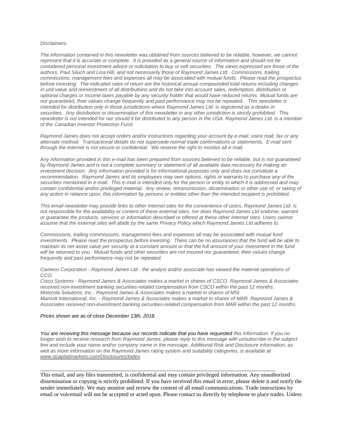#### *Disclaimers*

*[The information contained in this newsletter was obtained from sources believed to be reliable, however, we cannot](https://owa-kel.raymondjames.ca/owa/redir.aspx?SURL=z0BxOCXDlQ-Aad1f_a9igaARxm5Rd1VXE7UcmD4mZ3IZiacj7DPTCG0AYQBpAGwAdABvADoAcABhAHUAbAAuAHMAaQBsAHUAYwBoAEAAcgBhAHkAbQBvAG4AZABqAGEAbQBlAHMALgBjAGEA&URL=mailto%3apaul.siluch%40raymondjames.ca)  represent that it is accurate or complete. [It is provided as a general source of information and should not be](https://owa-kel.raymondjames.ca/owa/redir.aspx?SURL=z0BxOCXDlQ-Aad1f_a9igaARxm5Rd1VXE7UcmD4mZ3IZiacj7DPTCG0AYQBpAGwAdABvADoAcABhAHUAbAAuAHMAaQBsAHUAYwBoAEAAcgBhAHkAbQBvAG4AZABqAGEAbQBlAHMALgBjAGEA&URL=mailto%3apaul.siluch%40raymondjames.ca)  [considered personal investment advice or solicitation to buy or sell securities.](https://owa-kel.raymondjames.ca/owa/redir.aspx?SURL=z0BxOCXDlQ-Aad1f_a9igaARxm5Rd1VXE7UcmD4mZ3IZiacj7DPTCG0AYQBpAGwAdABvADoAcABhAHUAbAAuAHMAaQBsAHUAYwBoAEAAcgBhAHkAbQBvAG4AZABqAGEAbQBlAHMALgBjAGEA&URL=mailto%3apaul.siluch%40raymondjames.ca) The views expressed are those of the [authors, Paul Siluch and Lisa Hill, and not necessarily those of Raymond James Ltd.](https://owa-kel.raymondjames.ca/owa/redir.aspx?SURL=z0BxOCXDlQ-Aad1f_a9igaARxm5Rd1VXE7UcmD4mZ3IZiacj7DPTCG0AYQBpAGwAdABvADoAcABhAHUAbAAuAHMAaQBsAHUAYwBoAEAAcgBhAHkAbQBvAG4AZABqAGEAbQBlAHMALgBjAGEA&URL=mailto%3apaul.siluch%40raymondjames.ca) Commissions, trailing [commissions, management fees and expenses all may be associated with mutual funds.](https://owa-kel.raymondjames.ca/owa/redir.aspx?SURL=z0BxOCXDlQ-Aad1f_a9igaARxm5Rd1VXE7UcmD4mZ3IZiacj7DPTCG0AYQBpAGwAdABvADoAcABhAHUAbAAuAHMAaQBsAHUAYwBoAEAAcgBhAHkAbQBvAG4AZABqAGEAbQBlAHMALgBjAGEA&URL=mailto%3apaul.siluch%40raymondjames.ca) Please read the prospectus before investing. [The indicated rates of return are the historical annual](https://owa-kel.raymondjames.ca/owa/redir.aspx?SURL=z0BxOCXDlQ-Aad1f_a9igaARxm5Rd1VXE7UcmD4mZ3IZiacj7DPTCG0AYQBpAGwAdABvADoAcABhAHUAbAAuAHMAaQBsAHUAYwBoAEAAcgBhAHkAbQBvAG4AZABqAGEAbQBlAHMALgBjAGEA&URL=mailto%3apaul.siluch%40raymondjames.ca) compounded total returns including changes [in unit value and reinvestment of all distributions and do not take into account sales, redemption, distribution or](https://owa-kel.raymondjames.ca/owa/redir.aspx?SURL=z0BxOCXDlQ-Aad1f_a9igaARxm5Rd1VXE7UcmD4mZ3IZiacj7DPTCG0AYQBpAGwAdABvADoAcABhAHUAbAAuAHMAaQBsAHUAYwBoAEAAcgBhAHkAbQBvAG4AZABqAGEAbQBlAHMALgBjAGEA&URL=mailto%3apaul.siluch%40raymondjames.ca)  [optional charges or income taxes payable by any security holder that would have reduced returns.](https://owa-kel.raymondjames.ca/owa/redir.aspx?SURL=z0BxOCXDlQ-Aad1f_a9igaARxm5Rd1VXE7UcmD4mZ3IZiacj7DPTCG0AYQBpAGwAdABvADoAcABhAHUAbAAuAHMAaQBsAHUAYwBoAEAAcgBhAHkAbQBvAG4AZABqAGEAbQBlAHMALgBjAGEA&URL=mailto%3apaul.siluch%40raymondjames.ca) Mutual funds are [not guaranteed, their values change frequently and past performance may not be repeated.](https://owa-kel.raymondjames.ca/owa/redir.aspx?SURL=z0BxOCXDlQ-Aad1f_a9igaARxm5Rd1VXE7UcmD4mZ3IZiacj7DPTCG0AYQBpAGwAdABvADoAcABhAHUAbAAuAHMAaQBsAHUAYwBoAEAAcgBhAHkAbQBvAG4AZABqAGEAbQBlAHMALgBjAGEA&URL=mailto%3apaul.siluch%40raymondjames.ca) This newsletter is [intended for distribution only in those jurisdictions where Raymond James Ltd. is registered as a dealer in](https://owa-kel.raymondjames.ca/owa/redir.aspx?SURL=z0BxOCXDlQ-Aad1f_a9igaARxm5Rd1VXE7UcmD4mZ3IZiacj7DPTCG0AYQBpAGwAdABvADoAcABhAHUAbAAuAHMAaQBsAHUAYwBoAEAAcgBhAHkAbQBvAG4AZABqAGEAbQBlAHMALgBjAGEA&URL=mailto%3apaul.siluch%40raymondjames.ca)  securities. [Any distribution or dissemination of this newsletter in any other jurisdiction is strictly prohibited.](https://owa-kel.raymondjames.ca/owa/redir.aspx?SURL=z0BxOCXDlQ-Aad1f_a9igaARxm5Rd1VXE7UcmD4mZ3IZiacj7DPTCG0AYQBpAGwAdABvADoAcABhAHUAbAAuAHMAaQBsAHUAYwBoAEAAcgBhAHkAbQBvAG4AZABqAGEAbQBlAHMALgBjAGEA&URL=mailto%3apaul.siluch%40raymondjames.ca) This [newsletter is not intended for nor should it be distributed to any person in the USA. Raymond James Ltd. is a member](https://owa-kel.raymondjames.ca/owa/redir.aspx?SURL=z0BxOCXDlQ-Aad1f_a9igaARxm5Rd1VXE7UcmD4mZ3IZiacj7DPTCG0AYQBpAGwAdABvADoAcABhAHUAbAAuAHMAaQBsAHUAYwBoAEAAcgBhAHkAbQBvAG4AZABqAGEAbQBlAHMALgBjAGEA&URL=mailto%3apaul.siluch%40raymondjames.ca)  [of the Canadian Investor Protection Fund.](https://owa-kel.raymondjames.ca/owa/redir.aspx?SURL=z0BxOCXDlQ-Aad1f_a9igaARxm5Rd1VXE7UcmD4mZ3IZiacj7DPTCG0AYQBpAGwAdABvADoAcABhAHUAbAAuAHMAaQBsAHUAYwBoAEAAcgBhAHkAbQBvAG4AZABqAGEAbQBlAHMALgBjAGEA&URL=mailto%3apaul.siluch%40raymondjames.ca)* 

*Raymond James [does not accept orders and/or instructions regarding your account by e-mail, voice mail, fax or any](https://owa-kel.raymondjames.ca/owa/redir.aspx?SURL=z0BxOCXDlQ-Aad1f_a9igaARxm5Rd1VXE7UcmD4mZ3IZiacj7DPTCG0AYQBpAGwAdABvADoAcABhAHUAbAAuAHMAaQBsAHUAYwBoAEAAcgBhAHkAbQBvAG4AZABqAGEAbQBlAHMALgBjAGEA&URL=mailto%3apaul.siluch%40raymondjames.ca)  alternate method. [Transactional details do not supersede normal trade confirmations or statements.](https://owa-kel.raymondjames.ca/owa/redir.aspx?SURL=z0BxOCXDlQ-Aad1f_a9igaARxm5Rd1VXE7UcmD4mZ3IZiacj7DPTCG0AYQBpAGwAdABvADoAcABhAHUAbAAuAHMAaQBsAHUAYwBoAEAAcgBhAHkAbQBvAG4AZABqAGEAbQBlAHMALgBjAGEA&URL=mailto%3apaul.siluch%40raymondjames.ca) E-mail sent [through the Internet is not secure or confidential.](https://owa-kel.raymondjames.ca/owa/redir.aspx?SURL=z0BxOCXDlQ-Aad1f_a9igaARxm5Rd1VXE7UcmD4mZ3IZiacj7DPTCG0AYQBpAGwAdABvADoAcABhAHUAbAAuAHMAaQBsAHUAYwBoAEAAcgBhAHkAbQBvAG4AZABqAGEAbQBlAHMALgBjAGEA&URL=mailto%3apaul.siluch%40raymondjames.ca) We reserve the right to monitor all e-mail.*

*[Any information provided in this e-mail has been prepared from sources believed to be reliable, but is not guaranteed](https://owa-kel.raymondjames.ca/owa/redir.aspx?SURL=z0BxOCXDlQ-Aad1f_a9igaARxm5Rd1VXE7UcmD4mZ3IZiacj7DPTCG0AYQBpAGwAdABvADoAcABhAHUAbAAuAHMAaQBsAHUAYwBoAEAAcgBhAHkAbQBvAG4AZABqAGEAbQBlAHMALgBjAGEA&URL=mailto%3apaul.siluch%40raymondjames.ca)  by Raymond James [and is not a complete summary or statement of all available data necessary for making an](https://owa-kel.raymondjames.ca/owa/redir.aspx?SURL=z0BxOCXDlQ-Aad1f_a9igaARxm5Rd1VXE7UcmD4mZ3IZiacj7DPTCG0AYQBpAGwAdABvADoAcABhAHUAbAAuAHMAaQBsAHUAYwBoAEAAcgBhAHkAbQBvAG4AZABqAGEAbQBlAHMALgBjAGEA&URL=mailto%3apaul.siluch%40raymondjames.ca)  investment decision. [Any information provided is for informational purposes only and does not constitute a](https://owa-kel.raymondjames.ca/owa/redir.aspx?SURL=z0BxOCXDlQ-Aad1f_a9igaARxm5Rd1VXE7UcmD4mZ3IZiacj7DPTCG0AYQBpAGwAdABvADoAcABhAHUAbAAuAHMAaQBsAHUAYwBoAEAAcgBhAHkAbQBvAG4AZABqAGEAbQBlAHMALgBjAGEA&URL=mailto%3apaul.siluch%40raymondjames.ca)  recommendation. Raymond James [and its employees may own options, rights or warrants to purchase any of the](https://owa-kel.raymondjames.ca/owa/redir.aspx?SURL=z0BxOCXDlQ-Aad1f_a9igaARxm5Rd1VXE7UcmD4mZ3IZiacj7DPTCG0AYQBpAGwAdABvADoAcABhAHUAbAAuAHMAaQBsAHUAYwBoAEAAcgBhAHkAbQBvAG4AZABqAGEAbQBlAHMALgBjAGEA&URL=mailto%3apaul.siluch%40raymondjames.ca)  securities mentioned in e-mail. [This e-mail is intended only for the person or entity to which it is addressed and may](https://owa-kel.raymondjames.ca/owa/redir.aspx?SURL=z0BxOCXDlQ-Aad1f_a9igaARxm5Rd1VXE7UcmD4mZ3IZiacj7DPTCG0AYQBpAGwAdABvADoAcABhAHUAbAAuAHMAaQBsAHUAYwBoAEAAcgBhAHkAbQBvAG4AZABqAGEAbQBlAHMALgBjAGEA&URL=mailto%3apaul.siluch%40raymondjames.ca)  contain confidential and/or privileged material. [Any review, retransmission, dissemination or other use of, or taking of](https://owa-kel.raymondjames.ca/owa/redir.aspx?SURL=z0BxOCXDlQ-Aad1f_a9igaARxm5Rd1VXE7UcmD4mZ3IZiacj7DPTCG0AYQBpAGwAdABvADoAcABhAHUAbAAuAHMAaQBsAHUAYwBoAEAAcgBhAHkAbQBvAG4AZABqAGEAbQBlAHMALgBjAGEA&URL=mailto%3apaul.siluch%40raymondjames.ca)  [any action in reliance upon, this information by persons or entities other than the intended recipient is prohibited.](https://owa-kel.raymondjames.ca/owa/redir.aspx?SURL=z0BxOCXDlQ-Aad1f_a9igaARxm5Rd1VXE7UcmD4mZ3IZiacj7DPTCG0AYQBpAGwAdABvADoAcABhAHUAbAAuAHMAaQBsAHUAYwBoAEAAcgBhAHkAbQBvAG4AZABqAGEAbQBlAHMALgBjAGEA&URL=mailto%3apaul.siluch%40raymondjames.ca)*

*This email newsletter may provide links to other Internet sites for the convenience of users. Raymond James Ltd. is not responsible for the availability or content of these external sites, nor does Raymond James Ltd endorse, warrant or guarantee the products, services or information described or offered at these other Internet sites. Users cannot assume that the external sites will abide by the same Privacy Policy which Raymond James Ltd adheres to.*

*Commissions, trailing commissions, management fees and expenses all may be associated with mutual fund investments. Please read the prospectus before investing. There can be no assurances that the fund will be able to maintain its net asset value per security at a constant amount or that the full amount of your investment in the fund will be returned to you. Mutual funds and other securities are not insured nor guaranteed, their values change frequently and past performance may not be repeated.*

*Cameco Corporation - Raymond James Ltd - the analyst and/or associate has viewed the material operations of CCO.*

*Cisco Systems - Raymond James & Associates makes a market in shares of CSCO. Raymond James & Associates received non-investment banking securities-related compensation from CSCO within the past 12 months. Motorola Solutions, Inc.- Raymond James & Associates makes a market in shares of MSI. Marriott International, Inc. - Raymond James & Associates makes a market in shares of MAR. Raymond James & Associates received non-investment banking securities-related compensation from MAR within the past 12 months.*

#### *Prices shown are [as of close December 13th, 2018.](https://owa-kel.raymondjames.ca/owa/redir.aspx?SURL=z0BxOCXDlQ-Aad1f_a9igaARxm5Rd1VXE7UcmD4mZ3IZiacj7DPTCG0AYQBpAGwAdABvADoAcABhAHUAbAAuAHMAaQBsAHUAYwBoAEAAcgBhAHkAbQBvAG4AZABqAGEAbQBlAHMALgBjAGEA&URL=mailto%3apaul.siluch%40raymondjames.ca)*

*You are receiving this message because our records indicate that you have requested this information. If you no longer wish to receive research from Raymond James, please reply to this message with unsubscribe in the subject line and include your name and/or company name in the message. Additional Risk and Disclosure information, as well as more information on the Raymond James rating system and suitability categories, is available at [www.rjcapitalmarkets.com/Disclosures/Index.](https://owa-kel.raymondjames.ca/owa/redir.aspx?SURL=xhOB4gpVfLOskwdkUL9L2f18Fq4IG2rgvMfuIIX7BlwZiacj7DPTCGgAdAB0AHAAOgAvAC8AdwB3AHcALgByAGoAYwBhAHAAaQB0AGEAbABtAGEAcgBrAGUAdABzAC4AYwBvAG0ALwBEAGkAcwBjAGwAbwBzAHUAcgBlAHMALwBJAG4AZABlAHgA&URL=http%3a%2f%2fwww.rjcapitalmarkets.com%2fDisclosures%2fIndex)*

\_\_\_\_\_\_\_\_\_\_\_\_\_\_\_\_\_\_\_\_\_\_\_\_\_\_\_\_\_\_\_\_\_\_\_\_\_\_\_\_\_\_\_\_\_\_\_\_\_\_\_\_\_\_\_\_\_\_\_\_\_\_\_\_\_\_\_\_\_\_\_\_\_\_\_\_\_\_\_\_\_\_\_\_

This email, and any files transmitted, is confidential and may contain privileged information. Any unauthorized dissemination or copying is strictly prohibited. If you have received this email in error, please delete it and notify the sender immediately. We may monitor and review the content of all email communications. Trade instructions by email or voicemail will not be accepted or acted upon. Please contact us directly by telephone to place trades. Unless